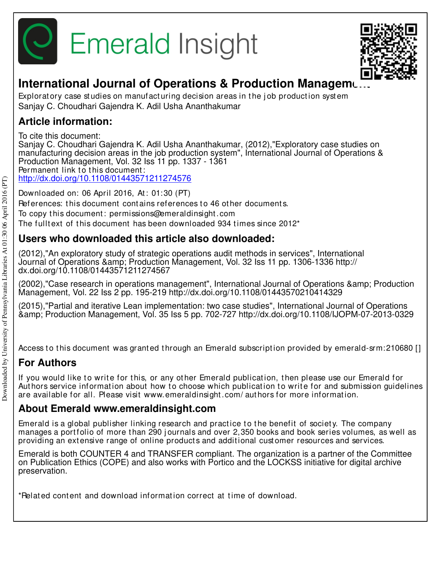



# **International Journal of Operations & Production Management**

Explorat ory case studies on manufacturing decision areas in the job production system Sanjay C. Choudhari Gajendra K. Adil Usha Ananthakumar

## **Article information:**

To cite this document:

Sanjay C. Choudhari Gajendra K. Adil Usha Ananthakumar, (2012),"Exploratory case studies on manufacturing decision areas in the job production system", International Journal of Operations & Production Management, Vol. 32 Iss 11 pp. 1337 - 1361 Permanent link to this document:

http://dx.doi.org/10.1108/01443571211274576

Downloaded on: 06 April 2016, At : 01:30 (PT)

References: this document contains references to 46 other documents.

To copy t his document : permissions@emeraldinsight .com

The fulltext of this document has been downloaded 934 times since  $2012<sup>*</sup>$ 

## **Users who downloaded this article also downloaded:**

(2012),"An exploratory study of strategic operations audit methods in services", International Journal of Operations & amp; Production Management, Vol. 32 Iss 11 pp. 1306-1336 http:// dx.doi.org/10.1108/01443571211274567

(2002),"Case research in operations management", International Journal of Operations & Production Management, Vol. 22 Iss 2 pp. 195-219 http://dx.doi.org/10.1108/01443570210414329

(2015),"Partial and iterative Lean implementation: two case studies", International Journal of Operations & Production Management, Vol. 35 Iss 5 pp. 702-727 http://dx.doi.org/10.1108/IJOPM-07-2013-0329

Access to this document was granted through an Emerald subscription provided by emerald-srm: 210680 []

# **For Authors**

If you would like to write for this, or any other Emerald publication, then please use our Emerald for Authors service information about how to choose which publication to write for and submission guidelines are available for all. Please visit www.emeraldinsight .com/ aut hors for more informat ion.

## **About Emerald www.emeraldinsight.com**

Emerald is a global publisher linking research and practice to the benefit of society. The company manages a port folio of more t han 290 j ournals and over 2,350 books and book series volumes, as well as providing an extensive range of online products and additional customer resources and services.

Emerald is both COUNTER 4 and TRANSFER compliant. The organization is a partner of the Committee on Publication Ethics (COPE) and also works with Portico and the LOCKSS initiative for digital archive preservation.

\*Relat ed cont ent and download informat ion correct at t ime of download.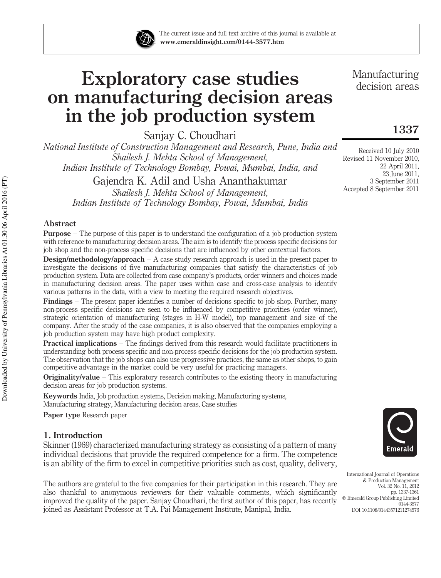

The current issue and full text archive of this journal is available at www.emeraldinsight.com/0144-3577.htm

# Exploratory case studies on manufacturing decision areas in the job production system

Sanjay C. Choudhari

*National Institute of Construction Management and Research, Pune, India and Shailesh J. Mehta School of Management, Indian Institute of Technology Bombay, Powai, Mumbai, India, and*

Gajendra K. Adil and Usha Ananthakumar *Shailesh J. Mehta School of Management, Indian Institute of Technology Bombay, Powai, Mumbai, India*

#### Abstract

Purpose – The purpose of this paper is to understand the configuration of a job production system with reference to manufacturing decision areas. The aim is to identify the process specific decisions for job shop and the non-process specific decisions that are influenced by other contextual factors.

**Design/methodology/approach** – A case study research approach is used in the present paper to investigate the decisions of five manufacturing companies that satisfy the characteristics of job production system. Data are collected from case company's products, order winners and choices made in manufacturing decision areas. The paper uses within case and cross-case analysis to identify various patterns in the data, with a view to meeting the required research objectives.

Findings – The present paper identifies a number of decisions specific to job shop. Further, many non-process specific decisions are seen to be influenced by competitive priorities (order winner), strategic orientation of manufacturing (stages in H-W model), top management and size of the company. After the study of the case companies, it is also observed that the companies employing a job production system may have high product complexity.

Practical implications – The findings derived from this research would facilitate practitioners in understanding both process specific and non-process specific decisions for the job production system. The observation that the job shops can also use progressive practices, the same as other shops, to gain competitive advantage in the market could be very useful for practicing managers.

Originality/value – This exploratory research contributes to the existing theory in manufacturing decision areas for job production systems.

Keywords India, Job production systems, Decision making, Manufacturing systems, Manufacturing strategy, Manufacturing decision areas, Case studies

Paper type Research paper

#### 1. Introduction

Skinner (1969) characterized manufacturing strategy as consisting of a pattern of many individual decisions that provide the required competence for a firm. The competence is an ability of the firm to excel in competitive priorities such as cost, quality, delivery,

The authors are grateful to the five companies for their participation in this research. They are also thankful to anonymous reviewers for their valuable comments, which significantly improved the quality of the paper. Sanjay Choudhari, the first author of this paper, has recently joined as Assistant Professor at T.A. Pai Management Institute, Manipal, India.

Manufacturing decision areas

## 1337

Received 10 July 2010 Revised 11 November 2010, 22 April 2011, 23 June 2011, 3 September 2011 Accepted 8 September 2011



International Journal of Operations & Production Management Vol. 32 No. 11, 2012 pp. 1337-1361  $©$  Emerald Group Publishing Limited 0144-3577 DOI 10.1108/01443571211274576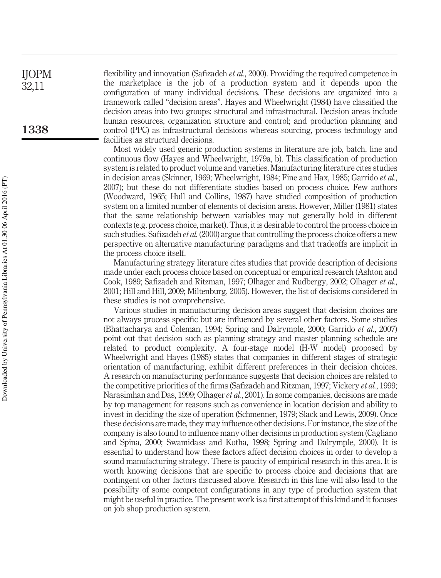flexibility and innovation (Safizadeh *et al.*, 2000). Providing the required competence in the marketplace is the job of a production system and it depends upon the configuration of many individual decisions. These decisions are organized into a framework called "decision areas". Hayes and Wheelwright (1984) have classified the decision areas into two groups: structural and infrastructural. Decision areas include human resources, organization structure and control; and production planning and control (PPC) as infrastructural decisions whereas sourcing, process technology and facilities as structural decisions.

Most widely used generic production systems in literature are job, batch, line and continuous flow (Hayes and Wheelwright, 1979a, b). This classification of production system is related to product volume and varieties. Manufacturing literature cites studies in decision areas (Skinner, 1969; Wheelwright, 1984; Fine and Hax, 1985; Garrido *et al.*, 2007); but these do not differentiate studies based on process choice. Few authors (Woodward, 1965; Hull and Collins, 1987) have studied composition of production system on a limited number of elements of decision areas. However, Miller (1981) states that the same relationship between variables may not generally hold in different contexts (e.g. process choice, market). Thus, it is desirable to control the process choice in such studies. Safizadeh *et al.* (2000) argue that controlling the process choice offers a new perspective on alternative manufacturing paradigms and that tradeoffs are implicit in the process choice itself.

Manufacturing strategy literature cites studies that provide description of decisions made under each process choice based on conceptual or empirical research (Ashton and Cook, 1989; Safizadeh and Ritzman, 1997; Olhager and Rudbergy, 2002; Olhager *et al.*, 2001; Hill and Hill, 2009; Miltenburg, 2005). However, the list of decisions considered in these studies is not comprehensive.

Various studies in manufacturing decision areas suggest that decision choices are not always process specific but are influenced by several other factors. Some studies (Bhattacharya and Coleman, 1994; Spring and Dalrymple, 2000; Garrido *et al.*, 2007) point out that decision such as planning strategy and master planning schedule are related to product complexity. A four-stage model (H-W model) proposed by Wheelwright and Hayes (1985) states that companies in different stages of strategic orientation of manufacturing, exhibit different preferences in their decision choices. A research on manufacturing performance suggests that decision choices are related to the competitive priorities of the firms (Safizadeh and Ritzman, 1997; Vickery *et al.*, 1999; Narasimhan and Das, 1999; Olhager *et al.*, 2001). In some companies, decisions are made by top management for reasons such as convenience in location decision and ability to invest in deciding the size of operation (Schmenner, 1979; Slack and Lewis, 2009). Once these decisions are made, they may influence other decisions. For instance, the size of the company is also found to influence many other decisions in production system (Cagliano and Spina, 2000; Swamidass and Kotha, 1998; Spring and Dalrymple, 2000). It is essential to understand how these factors affect decision choices in order to develop a sound manufacturing strategy. There is paucity of empirical research in this area. It is worth knowing decisions that are specific to process choice and decisions that are contingent on other factors discussed above. Research in this line will also lead to the possibility of some competent configurations in any type of production system that might be useful in practice. The present work is a first attempt of this kind and it focuses on job shop production system.

### 1338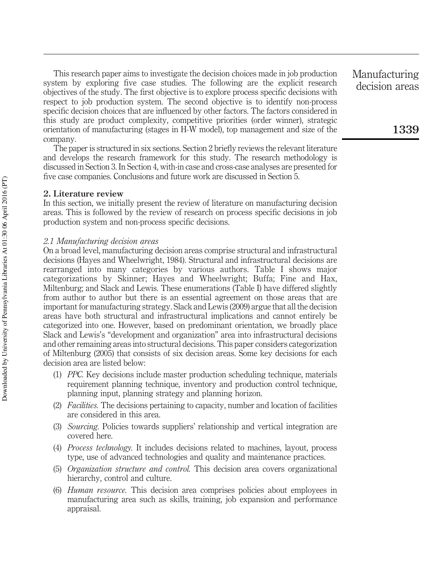This research paper aims to investigate the decision choices made in job production system by exploring five case studies. The following are the explicit research objectives of the study. The first objective is to explore process specific decisions with respect to job production system. The second objective is to identify non-process specific decision choices that are influenced by other factors. The factors considered in this study are product complexity, competitive priorities (order winner), strategic orientation of manufacturing (stages in H-W model), top management and size of the company.

The paper is structured in six sections. Section 2 briefly reviews the relevant literature and develops the research framework for this study. The research methodology is discussed in Section 3. In Section 4, with-in case and cross-case analyses are presented for five case companies. Conclusions and future work are discussed in Section 5.

#### 2. Literature review

In this section, we initially present the review of literature on manufacturing decision areas. This is followed by the review of research on process specific decisions in job production system and non-process specific decisions.

#### *2.1 Manufacturing decision areas*

On a broad level, manufacturing decision areas comprise structural and infrastructural decisions (Hayes and Wheelwright, 1984). Structural and infrastructural decisions are rearranged into many categories by various authors. Table I shows major categorizations by Skinner; Hayes and Wheelwright; Buffa; Fine and Hax, Miltenburg; and Slack and Lewis. These enumerations (Table I) have differed slightly from author to author but there is an essential agreement on those areas that are important for manufacturing strategy. Slack and Lewis (2009) argue that all the decision areas have both structural and infrastructural implications and cannot entirely be categorized into one. However, based on predominant orientation, we broadly place Slack and Lewis's "development and organization" area into infrastructural decisions and other remaining areas into structural decisions. This paper considers categorization of Miltenburg (2005) that consists of six decision areas. Some key decisions for each decision area are listed below:

- (1) *PPC.* Key decisions include master production scheduling technique, materials requirement planning technique, inventory and production control technique, planning input, planning strategy and planning horizon.
- (2) *Facilities.* The decisions pertaining to capacity, number and location of facilities are considered in this area.
- (3) *Sourcing.* Policies towards suppliers' relationship and vertical integration are covered here.
- (4) *Process technology.* It includes decisions related to machines, layout, process type, use of advanced technologies and quality and maintenance practices.
- (5) *Organization structure and control.* This decision area covers organizational hierarchy, control and culture.
- (6) *Human resource.* This decision area comprises policies about employees in manufacturing area such as skills, training, job expansion and performance appraisal.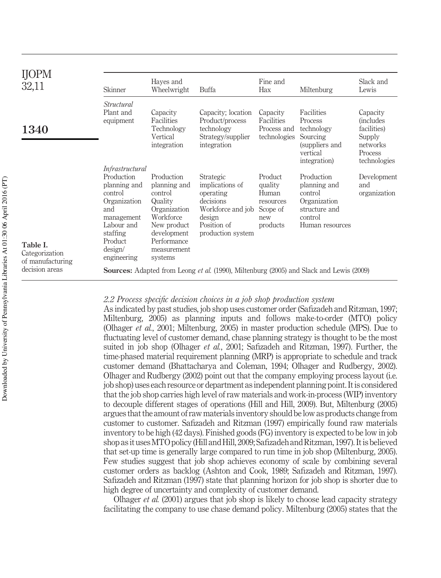| <b>IJOPM</b><br>32,11                          |                                                                                                                                                              | Haves and                                                                                                                                            |                                                                                                                           | Fine and                                                                |                                                                                                      | Slack and                                                                                     |
|------------------------------------------------|--------------------------------------------------------------------------------------------------------------------------------------------------------------|------------------------------------------------------------------------------------------------------------------------------------------------------|---------------------------------------------------------------------------------------------------------------------------|-------------------------------------------------------------------------|------------------------------------------------------------------------------------------------------|-----------------------------------------------------------------------------------------------|
|                                                | Skinner                                                                                                                                                      | Wheelwright                                                                                                                                          | Buffa                                                                                                                     | Hax                                                                     | Miltenburg                                                                                           | Lewis                                                                                         |
| 1340                                           | Structural<br>Plant and<br>equipment                                                                                                                         | Capacity<br>Facilities<br>Technology<br>Vertical<br>integration                                                                                      | Capacity; location<br>Product/process<br>technology<br>Strategy/supplier<br>integration                                   | Capacity<br>Facilities<br>Process and<br>technologies                   | Facilities<br>Process<br>technology<br>Sourcing<br>(suppliers and<br>vertical<br>integration)        | Capacity<br><i>(includes)</i><br>facilities)<br>Supply<br>networks<br>Process<br>technologies |
| Table I.<br>Categorization<br>of manufacturing | Infrastructural<br>Production<br>planning and<br>control<br>Organization<br>and<br>management<br>Labour and<br>staffing<br>Product<br>design/<br>engineering | Production<br>planning and<br>control<br>Quality<br>Organization<br>Workforce<br>New product<br>development<br>Performance<br>measurement<br>systems | Strategic<br>implications of<br>operating<br>decisions<br>Workforce and job<br>design<br>Position of<br>production system | Product<br>quality<br>Human<br>resources<br>Scope of<br>new<br>products | Production<br>planning and<br>control<br>Organization<br>structure and<br>control<br>Human resources | Development<br>and<br>organization                                                            |
| decision areas                                 |                                                                                                                                                              |                                                                                                                                                      | <b>Sources:</b> Adapted from Leong <i>et al.</i> (1990), Miltenburg (2005) and Slack and Lewis (2009)                     |                                                                         |                                                                                                      |                                                                                               |

#### *2.2 Process specific decision choices in a job shop production system*

As indicated by past studies, job shop uses customer order (Safizadeh and Ritzman, 1997; Miltenburg, 2005) as planning inputs and follows make-to-order (MTO) policy (Olhager *et al.*, 2001; Miltenburg, 2005) in master production schedule (MPS). Due to fluctuating level of customer demand, chase planning strategy is thought to be the most suited in job shop (Olhager *et al.*, 2001; Safizadeh and Ritzman, 1997). Further, the time-phased material requirement planning (MRP) is appropriate to schedule and track customer demand (Bhattacharya and Coleman, 1994; Olhager and Rudbergy, 2002). Olhager and Rudbergy (2002) point out that the company employing process layout (i.e. job shop) uses each resource or department as independent planning point. It is considered that the job shop carries high level of raw materials and work-in-process (WIP) inventory to decouple different stages of operations (Hill and Hill, 2009). But, Miltenburg (2005) argues that the amount of raw materials inventory should be low as products change from customer to customer. Safizadeh and Ritzman (1997) empirically found raw materials inventory to be high (42 days). Finished goods (FG) inventory is expected to be low in job shop as it uses MTO policy (Hill and Hill, 2009; Safizadeh and Ritzman, 1997). It is believed that set-up time is generally large compared to run time in job shop (Miltenburg, 2005). Few studies suggest that job shop achieves economy of scale by combining several customer orders as backlog (Ashton and Cook, 1989; Safizadeh and Ritzman, 1997). Safizadeh and Ritzman (1997) state that planning horizon for job shop is shorter due to high degree of uncertainty and complexity of customer demand.

Olhager *et al.* (2001) argues that job shop is likely to choose lead capacity strategy facilitating the company to use chase demand policy. Miltenburg (2005) states that the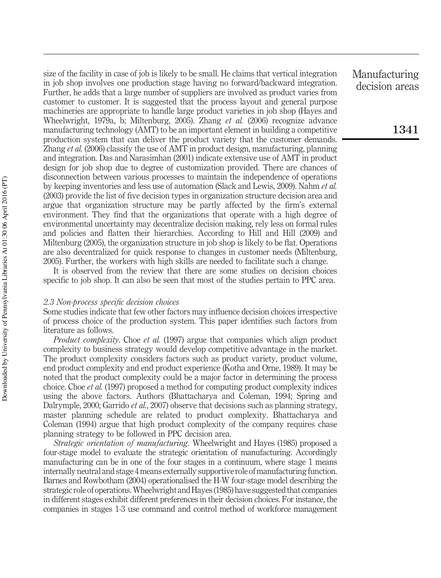size of the facility in case of job is likely to be small. He claims that vertical integration in job shop involves one production stage having no forward/backward integration. Further, he adds that a large number of suppliers are involved as product varies from customer to customer. It is suggested that the process layout and general purpose machineries are appropriate to handle large product varieties in job shop (Hayes and Wheelwright, 1979a, b; Miltenburg, 2005). Zhang *et al.* (2006) recognize advance manufacturing technology (AMT) to be an important element in building a competitive production system that can deliver the product variety that the customer demands. Zhang *et al.* (2006) classify the use of AMT in product design, manufacturing, planning and integration. Das and Narasimhan (2001) indicate extensive use of AMT in product design for job shop due to degree of customization provided. There are chances of disconnection between various processes to maintain the independence of operations by keeping inventories and less use of automation (Slack and Lewis, 2009). Nahm *et al.* (2003) provide the list of five decision types in organization structure decision area and argue that organization structure may be partly affected by the firm's external environment. They find that the organizations that operate with a high degree of environmental uncertainty may decentralize decision making, rely less on formal rules and policies and flatten their hierarchies. According to Hill and Hill (2009) and Miltenburg (2005), the organization structure in job shop is likely to be flat. Operations are also decentralized for quick response to changes in customer needs (Miltenburg, 2005). Further, the workers with high skills are needed to facilitate such a change.

It is observed from the review that there are some studies on decision choices specific to job shop. It can also be seen that most of the studies pertain to PPC area.

#### *2.3 Non-process specific decision choices*

Some studies indicate that few other factors may influence decision choices irrespective of process choice of the production system. This paper identifies such factors from literature as follows.

*Product complexity*. Choe *et al.* (1997) argue that companies which align product complexity to business strategy would develop competitive advantage in the market. The product complexity considers factors such as product variety, product volume, end product complexity and end product experience (Kotha and Orne, 1989). It may be noted that the product complexity could be a major factor in determining the process choice. Choe *et al.* (1997) proposed a method for computing product complexity indices using the above factors. Authors (Bhattacharya and Coleman, 1994; Spring and Dalrymple, 2000; Garrido *et al.*, 2007) observe that decisions such as planning strategy, master planning schedule are related to product complexity. Bhattacharya and Coleman (1994) argue that high product complexity of the company requires chase planning strategy to be followed in PPC decision area.

*Strategic orientation of manufacturing*. Wheelwright and Hayes (1985) proposed a four-stage model to evaluate the strategic orientation of manufacturing. Accordingly manufacturing can be in one of the four stages in a continuum, where stage 1 means internally neutral and stage 4 means externally supportive role of manufacturing function. Barnes and Rowbotham (2004) operationalised the H-W four-stage model describing the strategic role of operations.Wheelwright and Hayes (1985) have suggested that companies in different stages exhibit different preferences in their decision choices. For instance, the companies in stages 1-3 use command and control method of workforce management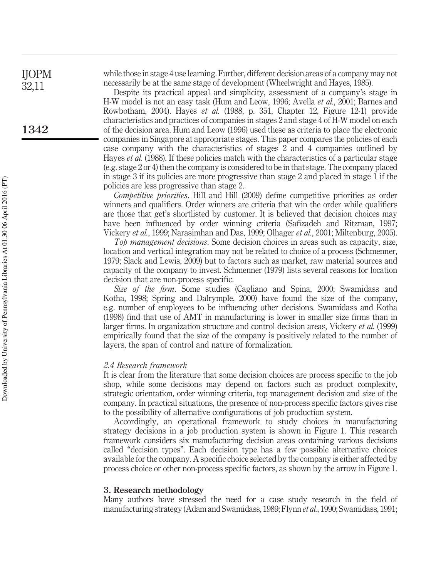while those in stage 4 use learning. Further, different decision areas of a company may not necessarily be at the same stage of development (Wheelwright and Hayes, 1985).

Despite its practical appeal and simplicity, assessment of a company's stage in H-W model is not an easy task (Hum and Leow, 1996; Avella *et al.*, 2001; Barnes and Rowbotham, 2004). Hayes *et al.* (1988, p. 351, Chapter 12, Figure 12-1) provide characteristics and practices of companies in stages 2 and stage 4 of H-W model on each of the decision area. Hum and Leow (1996) used these as criteria to place the electronic companies in Singapore at appropriate stages. This paper compares the policies of each case company with the characteristics of stages 2 and 4 companies outlined by Hayes *et al.* (1988). If these policies match with the characteristics of a particular stage (e.g. stage 2 or 4) then the company is considered to be in that stage. The company placed in stage 3 if its policies are more progressive than stage 2 and placed in stage 1 if the policies are less progressive than stage 2.

*Competitive priorities*. Hill and Hill (2009) define competitive priorities as order winners and qualifiers. Order winners are criteria that win the order while qualifiers are those that get's shortlisted by customer. It is believed that decision choices may have been influenced by order winning criteria (Safizadeh and Ritzman, 1997; Vickery *et al.*, 1999; Narasimhan and Das, 1999; Olhager *et al.*, 2001; Miltenburg, 2005).

*Top management decisions*. Some decision choices in areas such as capacity, size, location and vertical integration may not be related to choice of a process (Schmenner, 1979; Slack and Lewis, 2009) but to factors such as market, raw material sources and capacity of the company to invest. Schmenner (1979) lists several reasons for location decision that are non-process specific.

*Size of the firm*. Some studies (Cagliano and Spina, 2000; Swamidass and Kotha, 1998; Spring and Dalrymple, 2000) have found the size of the company, e.g. number of employees to be influencing other decisions. Swamidass and Kotha (1998) find that use of AMT in manufacturing is lower in smaller size firms than in larger firms. In organization structure and control decision areas, Vickery *et al.* (1999) empirically found that the size of the company is positively related to the number of layers, the span of control and nature of formalization.

#### *2.4 Research framework*

It is clear from the literature that some decision choices are process specific to the job shop, while some decisions may depend on factors such as product complexity, strategic orientation, order winning criteria, top management decision and size of the company. In practical situations, the presence of non-process specific factors gives rise to the possibility of alternative configurations of job production system.

Accordingly, an operational framework to study choices in manufacturing strategy decisions in a job production system is shown in Figure 1. This research framework considers six manufacturing decision areas containing various decisions called "decision types". Each decision type has a few possible alternative choices available for the company. A specific choice selected by the company is either affected by process choice or other non-process specific factors, as shown by the arrow in Figure 1.

#### 3. Research methodology

Many authors have stressed the need for a case study research in the field of manufacturing strategy (Adam and Swamidass, 1989; Flynn *et al.*, 1990; Swamidass, 1991;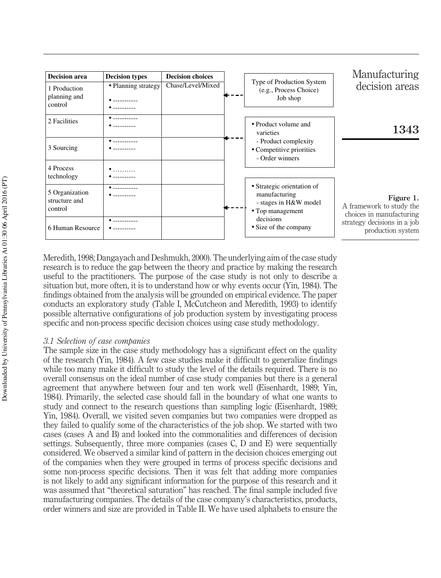

Meredith, 1998; Dangayach and Deshmukh, 2000). The underlying aim of the case study research is to reduce the gap between the theory and practice by making the research useful to the practitioners. The purpose of the case study is not only to describe a situation but, more often, it is to understand how or why events occur (Yin, 1984). The findings obtained from the analysis will be grounded on empirical evidence. The paper conducts an exploratory study (Table I, McCutcheon and Meredith, 1993) to identify possible alternative configurations of job production system by investigating process specific and non-process specific decision choices using case study methodology.

#### *3.1 Selection of case companies*

The sample size in the case study methodology has a significant effect on the quality of the research (Yin, 1984). A few case studies make it difficult to generalize findings while too many make it difficult to study the level of the details required. There is no overall consensus on the ideal number of case study companies but there is a general agreement that anywhere between four and ten work well (Eisenhardt, 1989; Yin, 1984). Primarily, the selected case should fall in the boundary of what one wants to study and connect to the research questions than sampling logic (Eisenhardt, 1989; Yin, 1984). Overall, we visited seven companies but two companies were dropped as they failed to qualify some of the characteristics of the job shop. We started with two cases (cases A and B) and looked into the commonalities and differences of decision settings. Subsequently, three more companies (cases C, D and E) were sequentially considered. We observed a similar kind of pattern in the decision choices emerging out of the companies when they were grouped in terms of process specific decisions and some non-process specific decisions. Then it was felt that adding more companies is not likely to add any significant information for the purpose of this research and it was assumed that "theoretical saturation" has reached. The final sample included five manufacturing companies. The details of the case company's characteristics, products, order winners and size are provided in Table II. We have used alphabets to ensure the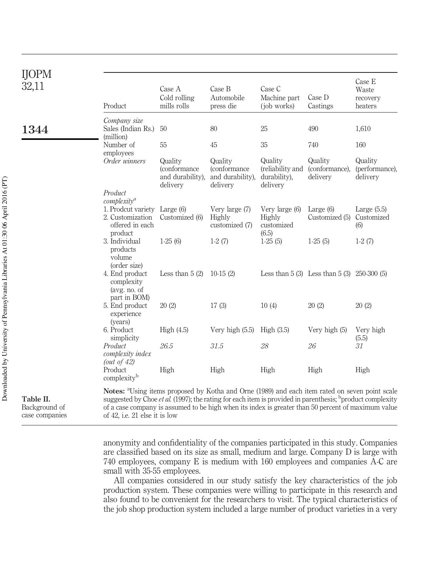| <b>IJOPM</b><br>32,11 | Product                                                                        | Case A<br>Cold rolling<br>mills rolls                           | Case B<br>Automobile<br>press die                               | Case C<br>Machine part<br>(job works)           | Case D<br>Castings                                     | Case E<br>Waste<br>recovery<br>heaters |
|-----------------------|--------------------------------------------------------------------------------|-----------------------------------------------------------------|-----------------------------------------------------------------|-------------------------------------------------|--------------------------------------------------------|----------------------------------------|
| 1344                  | Company size<br>Sales (Indian Rs.)<br>(million)                                | 50                                                              | 80                                                              | 25                                              | 490                                                    | 1,610                                  |
|                       | Number of                                                                      | 55                                                              | 45                                                              | 35                                              | 740                                                    | 160                                    |
|                       | employees<br>Order winners                                                     | Quality<br><i>(conformance)</i><br>and durability),<br>delivery | Quality<br><i>(conformance)</i><br>and durability),<br>delivery | Quality<br>durability),<br>delivery             | Quality<br>(reliability and (conformance),<br>delivery | Quality<br>(performance),<br>delivery  |
|                       | Product<br>$complexity^a$                                                      |                                                                 |                                                                 |                                                 |                                                        |                                        |
|                       | 1. Prodcut variety Large (6)<br>2. Customization<br>offered in each<br>product | Customized (6)                                                  | Very large (7)<br>Highly<br>customized (7)                      | Very large (6)<br>Highly<br>customized<br>(6.5) | Large $(6)$<br>Customized (5)                          | Large $(5.5)$<br>Customized<br>(6)     |
|                       | 3. Individual<br>products<br>volume<br>(order size)                            | $1-25(6)$                                                       | $1-2(7)$                                                        | $1-25(5)$                                       | $1-25(5)$                                              | $1-2(7)$                               |
|                       | 4. End product<br>complexity<br>(avg. no. of)<br>part in BOM)                  | Less than $5(2)$ 10-15 (2)                                      |                                                                 |                                                 | Less than $5(3)$ Less than $5(3)$ 250-300 (5)          |                                        |
|                       | 5. End product<br>experience<br>(years)                                        | 20(2)                                                           | 17(3)                                                           | 10(4)                                           | 20(2)                                                  | 20(2)                                  |
|                       | 6. Product<br>simplicity                                                       | High $(4.5)$                                                    | Very high $(5.5)$                                               | High(3.5)                                       | Very high (5)                                          | Very high                              |
|                       | Product<br>complexity index<br>(out of $42$ )                                  | 26.5                                                            | 31.5                                                            | 28                                              | 26                                                     | (5.5)<br>31                            |
|                       | Product<br>complexity <sup>b</sup>                                             | High                                                            | High                                                            | High                                            | High                                                   | High                                   |

Table II.

Background of case companies

of 42, i.e. 21 else it is low

anonymity and confidentiality of the companies participated in this study. Companies are classified based on its size as small, medium and large. Company D is large with 740 employees, company E is medium with 160 employees and companies A-C are small with 35-55 employees.

suggested by Choe *et al.* (1997); the rating for each item is provided in parenthesis; <sup>b</sup>product complexity of a case company is assumed to be high when its index is greater than 50 percent of maximum value

All companies considered in our study satisfy the key characteristics of the job production system. These companies were willing to participate in this research and also found to be convenient for the researchers to visit. The typical characteristics of the job shop production system included a large number of product varieties in a very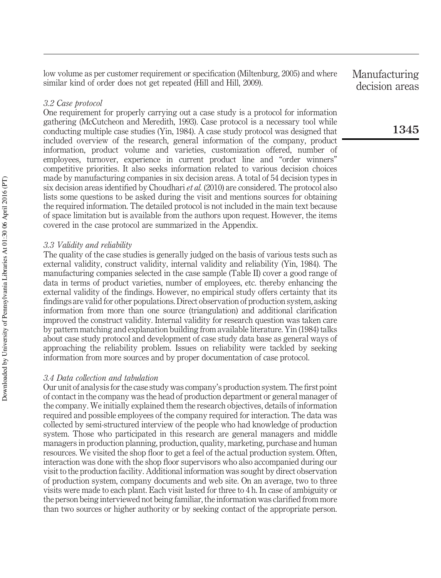low volume as per customer requirement or specification (Miltenburg, 2005) and where similar kind of order does not get repeated (Hill and Hill, 2009).

#### *3.2 Case protocol*

One requirement for properly carrying out a case study is a protocol for information gathering (McCutcheon and Meredith, 1993). Case protocol is a necessary tool while conducting multiple case studies (Yin, 1984). A case study protocol was designed that included overview of the research, general information of the company, product information, product volume and varieties, customization offered, number of employees, turnover, experience in current product line and "order winners" competitive priorities. It also seeks information related to various decision choices made by manufacturing companies in six decision areas. A total of 54 decision types in six decision areas identified by Choudhari *et al.* (2010) are considered. The protocol also lists some questions to be asked during the visit and mentions sources for obtaining the required information. The detailed protocol is not included in the main text because of space limitation but is available from the authors upon request. However, the items covered in the case protocol are summarized in the Appendix.

#### *3.3 Validity and reliability*

The quality of the case studies is generally judged on the basis of various tests such as external validity, construct validity, internal validity and reliability (Yin, 1984). The manufacturing companies selected in the case sample (Table II) cover a good range of data in terms of product varieties, number of employees, etc. thereby enhancing the external validity of the findings. However, no empirical study offers certainty that its findings are valid for other populations. Direct observation of production system, asking information from more than one source (triangulation) and additional clarification improved the construct validity. Internal validity for research question was taken care by pattern matching and explanation building from available literature. Yin (1984) talks about case study protocol and development of case study data base as general ways of approaching the reliability problem. Issues on reliability were tackled by seeking information from more sources and by proper documentation of case protocol.

#### *3.4 Data collection and tabulation*

Our unit of analysis for the case study was company's production system. The first point of contact in the company was the head of production department or general manager of the company. We initially explained them the research objectives, details of information required and possible employees of the company required for interaction. The data was collected by semi-structured interview of the people who had knowledge of production system. Those who participated in this research are general managers and middle managers in production planning, production, quality, marketing, purchase and human resources. We visited the shop floor to get a feel of the actual production system. Often, interaction was done with the shop floor supervisors who also accompanied during our visit to the production facility. Additional information was sought by direct observation of production system, company documents and web site. On an average, two to three visits were made to each plant. Each visit lasted for three to 4 h. In case of ambiguity or the person being interviewed not being familiar, the information was clarified from more than two sources or higher authority or by seeking contact of the appropriate person.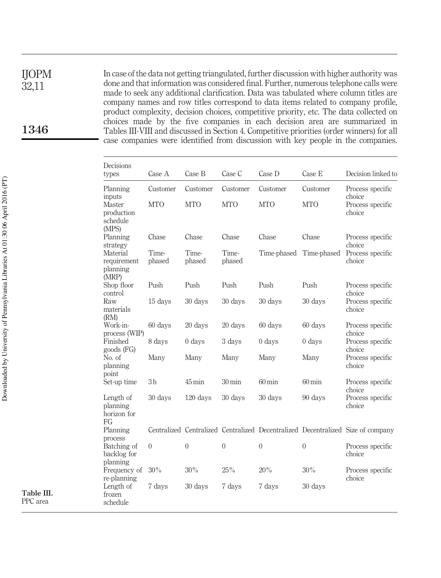#### In case of the data not getting triangulated, further discussion with higher authority was done and that information was considered final. Further, numerous telephone calls were made to seek any additional clarification. Data was tabulated where column titles are company names and row titles correspond to data items related to company profile, product complexity, decision choices, competitive priority, etc. The data collected on choices made by the five companies in each decision area are summarized in Tables III-VIII and discussed in Section 4. Competitive priorities (order winners) for all case companies were identified from discussion with key people in the companies. IJOPM 32,11 1346

| Customer<br>Customer<br>Customer<br>Customer<br>Planning<br>Customer<br>Process specific<br>choice<br>inputs<br><b>MTO</b><br><b>MTO</b><br><b>MTO</b><br><b>MTO</b><br><b>MTO</b><br>Master<br>Process specific<br>choice<br>production<br>schedule<br>(MPS)<br>Chase<br>Chase<br>Chase<br>Planning<br>Chase<br>Chase<br>Process specific<br>choice<br>strategy<br>Material<br>Time-<br>Time-<br>Time-<br>Time-phased Time-phased<br>Process specific<br>choice<br>requirement<br>phased<br>phased<br>phased<br>planning<br>(MRP)<br>Push<br>Push<br>Shop floor<br>Push<br>Push<br>Push<br>Process specific<br>control<br>choice<br>Raw<br>15 days<br>30 days<br>30 days<br>30 days<br>30 days<br>Process specific<br>choice<br>materials<br>(RM)<br>Work-in-<br>60 days<br>20 days<br>20 days<br>60 days<br>60 days<br>Process specific<br>choice<br>process (WIP)<br>Finished<br>$0$ days<br>8 days<br>$0$ days<br>3 days<br>$0$ days<br>Process specific<br>choice<br>goods (FG)<br>No. of<br>Many<br>Many<br>Many<br>Many<br>Many<br>Process specific<br>choice<br>planning<br>point<br>Set-up time<br>3 <sub>h</sub><br>45 min<br>30 min<br>$60 \,\mathrm{min}$<br>$60 \,\mathrm{min}$<br>Process specific<br>choice<br>Length of<br>120 days<br>30 days<br>90 days<br>Process specific<br>30 days<br>30 days<br>planning<br>choice<br>horizon for<br>FG<br>Centralized Centralized Centralized Decentralized Decentralized Size of company<br>Planning |
|---------------------------------------------------------------------------------------------------------------------------------------------------------------------------------------------------------------------------------------------------------------------------------------------------------------------------------------------------------------------------------------------------------------------------------------------------------------------------------------------------------------------------------------------------------------------------------------------------------------------------------------------------------------------------------------------------------------------------------------------------------------------------------------------------------------------------------------------------------------------------------------------------------------------------------------------------------------------------------------------------------------------------------------------------------------------------------------------------------------------------------------------------------------------------------------------------------------------------------------------------------------------------------------------------------------------------------------------------------------------------------------------------------------------------------------------------------------|
|                                                                                                                                                                                                                                                                                                                                                                                                                                                                                                                                                                                                                                                                                                                                                                                                                                                                                                                                                                                                                                                                                                                                                                                                                                                                                                                                                                                                                                                               |
|                                                                                                                                                                                                                                                                                                                                                                                                                                                                                                                                                                                                                                                                                                                                                                                                                                                                                                                                                                                                                                                                                                                                                                                                                                                                                                                                                                                                                                                               |
|                                                                                                                                                                                                                                                                                                                                                                                                                                                                                                                                                                                                                                                                                                                                                                                                                                                                                                                                                                                                                                                                                                                                                                                                                                                                                                                                                                                                                                                               |
|                                                                                                                                                                                                                                                                                                                                                                                                                                                                                                                                                                                                                                                                                                                                                                                                                                                                                                                                                                                                                                                                                                                                                                                                                                                                                                                                                                                                                                                               |
|                                                                                                                                                                                                                                                                                                                                                                                                                                                                                                                                                                                                                                                                                                                                                                                                                                                                                                                                                                                                                                                                                                                                                                                                                                                                                                                                                                                                                                                               |
|                                                                                                                                                                                                                                                                                                                                                                                                                                                                                                                                                                                                                                                                                                                                                                                                                                                                                                                                                                                                                                                                                                                                                                                                                                                                                                                                                                                                                                                               |
|                                                                                                                                                                                                                                                                                                                                                                                                                                                                                                                                                                                                                                                                                                                                                                                                                                                                                                                                                                                                                                                                                                                                                                                                                                                                                                                                                                                                                                                               |
|                                                                                                                                                                                                                                                                                                                                                                                                                                                                                                                                                                                                                                                                                                                                                                                                                                                                                                                                                                                                                                                                                                                                                                                                                                                                                                                                                                                                                                                               |
|                                                                                                                                                                                                                                                                                                                                                                                                                                                                                                                                                                                                                                                                                                                                                                                                                                                                                                                                                                                                                                                                                                                                                                                                                                                                                                                                                                                                                                                               |
|                                                                                                                                                                                                                                                                                                                                                                                                                                                                                                                                                                                                                                                                                                                                                                                                                                                                                                                                                                                                                                                                                                                                                                                                                                                                                                                                                                                                                                                               |
|                                                                                                                                                                                                                                                                                                                                                                                                                                                                                                                                                                                                                                                                                                                                                                                                                                                                                                                                                                                                                                                                                                                                                                                                                                                                                                                                                                                                                                                               |
| process                                                                                                                                                                                                                                                                                                                                                                                                                                                                                                                                                                                                                                                                                                                                                                                                                                                                                                                                                                                                                                                                                                                                                                                                                                                                                                                                                                                                                                                       |
| $\theta$<br>$\overline{0}$<br>$\overline{0}$<br>$\boldsymbol{0}$<br>Batching of<br>$\mathbf{0}$<br>Process specific<br>backlog for<br>choice<br>planning                                                                                                                                                                                                                                                                                                                                                                                                                                                                                                                                                                                                                                                                                                                                                                                                                                                                                                                                                                                                                                                                                                                                                                                                                                                                                                      |
| 30%<br>30%<br>25%<br>20%<br>30%<br>Frequency of<br>Process specific<br>re-planning<br>choice                                                                                                                                                                                                                                                                                                                                                                                                                                                                                                                                                                                                                                                                                                                                                                                                                                                                                                                                                                                                                                                                                                                                                                                                                                                                                                                                                                  |
| Length of<br>7 days<br>30 days<br>7 days<br>7 days<br>30 days<br>frozen<br>schedule                                                                                                                                                                                                                                                                                                                                                                                                                                                                                                                                                                                                                                                                                                                                                                                                                                                                                                                                                                                                                                                                                                                                                                                                                                                                                                                                                                           |

Table III. PPC area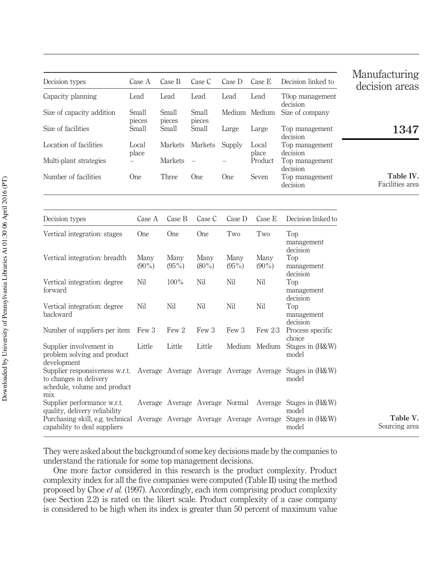| Decision types            | Case A          | Case B          | Case C                   | Case D     | Case E         | Decision linked to          | Manufacturing<br>decision areas |
|---------------------------|-----------------|-----------------|--------------------------|------------|----------------|-----------------------------|---------------------------------|
| Capacity planning         | Lead            | Lead            | Lead                     | Lead       | Lead           | T0op management<br>decision |                                 |
| Size of capacity addition | Small<br>pieces | Small<br>pieces | Small<br>pieces          | Medium     | Medium         | Size of company             |                                 |
| Size of facilities        | Small           | Small           | Small                    | Large      | Large          | Top management<br>decision  | 1347                            |
| Location of facilities    | Local<br>place  | Markets         | <b>Markets</b>           | Supply     | Local<br>place | Top management<br>decision  |                                 |
| Multi-plant strategies    |                 | <b>Markets</b>  | $\overline{\phantom{0}}$ |            | Product        | Top management<br>decision  |                                 |
| Number of facilities      | <b>One</b>      | Three           | <b>One</b>               | <b>One</b> | Seven          | Top management<br>decision  | Table IV.<br>Facilities area    |

| Decision types                                                                                                                          | Case A           | Case B                         | Case C           | Case D           | Case E           | Decision linked to            |
|-----------------------------------------------------------------------------------------------------------------------------------------|------------------|--------------------------------|------------------|------------------|------------------|-------------------------------|
| Vertical integration: stages                                                                                                            | <b>One</b>       | <b>One</b>                     | <b>One</b>       | Two              | Two              | Top<br>management<br>decision |
| Vertical integration: breadth                                                                                                           | Many<br>$(90\%)$ | Many<br>$(95\%)$               | Many<br>$(80\%)$ | Many<br>$(95\%)$ | Many<br>$(90\%)$ | Top<br>management<br>decision |
| Vertical integration: degree<br>forward                                                                                                 | Nil              | $100\%$                        | Nil              | Nil              | Nil              | Top<br>management<br>decision |
| Vertical integration: degree<br>backward                                                                                                | Nil              | Nil                            | Nil              | Nil              | Nil              | Top<br>management<br>decision |
| Number of suppliers per item                                                                                                            | Few 3            | Few 2                          | Few 3            | Few 3            | $Few 2-3$        | Process specific<br>choice    |
| Supplier involvement in<br>problem solving and product<br>development                                                                   | Little           | Little                         | Little           | Medium           | Medium           | Stages in (H&W)<br>model      |
| Supplier responsiveness w.r.t. Average Average Average Average Average<br>to changes in delivery<br>schedule, volume and product<br>mix |                  |                                |                  |                  |                  | Stages in (H&W)<br>model      |
| Supplier performance w.r.t.<br>quality, delivery reliability                                                                            |                  | Average Average Average Normal |                  |                  | Average          | Stages in (H&W)<br>model      |
| Purchasing skill, e.g. technical Average Average Average Average Average<br>capability to deal suppliers                                |                  |                                |                  |                  |                  | Stages in (H&W)<br>model      |

They were asked about the background of some key decisions made by the companies to understand the rationale for some top management decisions.

Table V. Sourcing area

One more factor considered in this research is the product complexity. Product complexity index for all the five companies were computed (Table II) using the method proposed by Choe *et al.* (1997). Accordingly, each item comprising product complexity (see Section 2.2) is rated on the likert scale. Product complexity of a case company is considered to be high when its index is greater than 50 percent of maximum value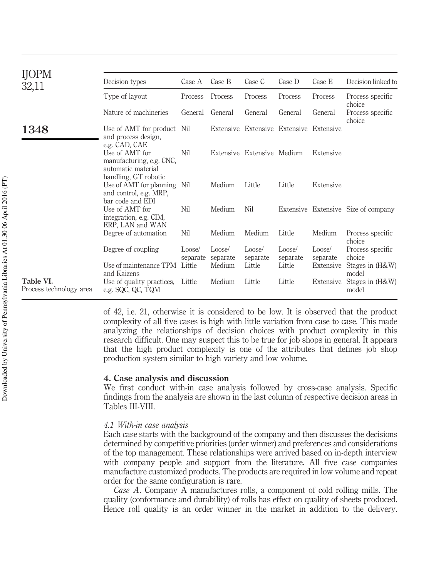| 32,11                                | Decision types                                                                                | Case A             | Case B             | Case C                                  | Case D             | Case E             | Decision linked to                  |
|--------------------------------------|-----------------------------------------------------------------------------------------------|--------------------|--------------------|-----------------------------------------|--------------------|--------------------|-------------------------------------|
|                                      | Type of layout                                                                                | Process            | Process            | Process                                 | Process            | Process            | Process specific<br>choice          |
|                                      | Nature of machineries                                                                         | General            | General            | General                                 | General            | General            | Process specific<br>choice          |
| 1348                                 | Use of AMT for product Nil<br>and process design,<br>e.g. CAD, CAE                            |                    |                    | Extensive Extensive Extensive Extensive |                    |                    |                                     |
|                                      | Use of AMT for<br>manufacturing, e.g. CNC,<br>automatic material                              | Nil                |                    | Extensive Extensive Medium              |                    | Extensive          |                                     |
|                                      | handling, GT robotic<br>Use of AMT for planning<br>and control, e.g. MRP,<br>bar code and EDI | Nil                | Medium             | Little                                  | Little             | Extensive          |                                     |
|                                      | Use of AMT for<br>integration, e.g. CIM,<br>ERP, LAN and WAN                                  | Nil                | Medium             | Nil                                     |                    |                    | Extensive Extensive Size of company |
|                                      | Degree of automation                                                                          | Nil                | Medium             | Medium                                  | Little             | Medium             | Process specific<br>choice          |
|                                      | Degree of coupling                                                                            | Loose/<br>separate | Loose/<br>separate | Loose/<br>separate                      | Loose/<br>separate | Loose/<br>separate | Process specific<br>choice          |
|                                      | Use of maintenance TPM Little<br>and Kaizens                                                  |                    | Medium             | Little                                  | Little             | Extensive          | Stages in (H&W)<br>model            |
| Table VI.<br>Process technology area | Use of quality practices,<br>e.g. SQC, QC, TQM                                                | Little             | Medium             | Little                                  | Little             |                    | Extensive Stages in (H&W)<br>model  |

of 42, i.e. 21, otherwise it is considered to be low. It is observed that the product complexity of all five cases is high with little variation from case to case. This made analyzing the relationships of decision choices with product complexity in this research difficult. One may suspect this to be true for job shops in general. It appears that the high product complexity is one of the attributes that defines job shop production system similar to high variety and low volume.

#### 4. Case analysis and discussion

We first conduct with-in case analysis followed by cross-case analysis. Specific findings from the analysis are shown in the last column of respective decision areas in Tables III-VIII.

#### *4.1 With-in case analysis*

Each case starts with the background of the company and then discusses the decisions determined by competitive priorities (order winner) and preferences and considerations of the top management. These relationships were arrived based on in-depth interview with company people and support from the literature. All five case companies manufacture customized products. The products are required in low volume and repeat order for the same configuration is rare.

*Case A*. Company A manufactures rolls, a component of cold rolling mills. The quality (conformance and durability) of rolls has effect on quality of sheets produced. Hence roll quality is an order winner in the market in addition to the delivery.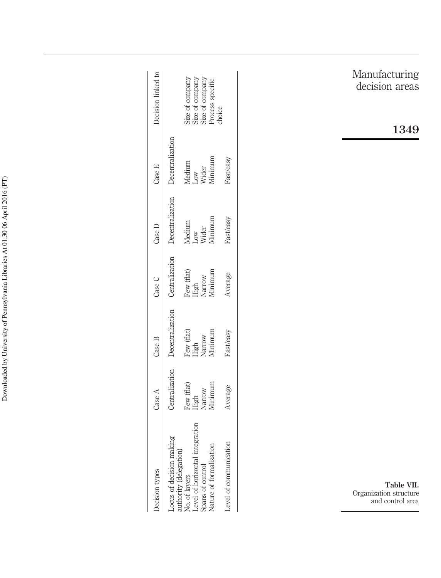| <b>Decision types</b>                                                                          | Case A                                  | Case B                                  | Case C                                  | Case D                            | Case E                            | Decision linked to                                                                  |
|------------------------------------------------------------------------------------------------|-----------------------------------------|-----------------------------------------|-----------------------------------------|-----------------------------------|-----------------------------------|-------------------------------------------------------------------------------------|
| Locus of decision making                                                                       | Centralization                          | Decentralization                        |                                         | Centralization Decentralization   | Decentralization                  |                                                                                     |
| authority (delegation)<br>No. of layers<br>Level of horizontal integration<br>Spans of control |                                         |                                         |                                         | Medium<br>Low<br>Wider<br>Minimum | Medium<br>Low<br>Wider<br>Minimum |                                                                                     |
|                                                                                                | Few (flat)<br>High<br>Narrow<br>Minimum | Few (flat)<br>High<br>Narrow<br>Minimum | Few (flat)<br>High<br>Narrow<br>Minimum |                                   |                                   |                                                                                     |
|                                                                                                |                                         |                                         |                                         |                                   |                                   |                                                                                     |
| Nature of formalization                                                                        |                                         |                                         |                                         |                                   |                                   | Size of company<br>Size of company<br>Size of company<br>Process specific<br>choice |
| Level of communication                                                                         | Average                                 | Fast/easy                               | Average                                 | Fast/easy                         | Fast/easy                         |                                                                                     |
|                                                                                                |                                         |                                         |                                         |                                   |                                   |                                                                                     |
|                                                                                                |                                         |                                         |                                         |                                   |                                   |                                                                                     |
|                                                                                                |                                         |                                         |                                         |                                   |                                   |                                                                                     |

Manufacturing decision areas

Table VII. Organization structure and control area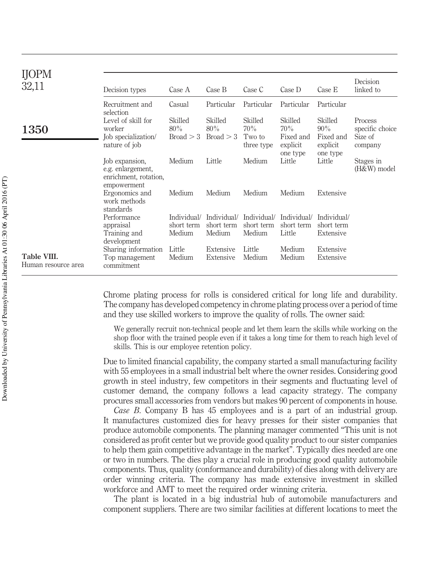| IJOPM<br>32,11                     | Decision types                                                              | Case A                                         | Case B                              | Case C                                        | Case D                                              | Case E                                                 | Decision<br>linked to                            |
|------------------------------------|-----------------------------------------------------------------------------|------------------------------------------------|-------------------------------------|-----------------------------------------------|-----------------------------------------------------|--------------------------------------------------------|--------------------------------------------------|
|                                    | Recruitment and<br>selection                                                | Casual                                         | Particular                          | Particular                                    | Particular                                          | Particular                                             |                                                  |
| 1350                               | Level of skill for<br>worker<br>Job specialization/<br>nature of job        | <b>Skilled</b><br>$80\%$<br>$_{\rm Broad} > 3$ | Skilled<br>80%<br>Broad > 3         | <b>Skilled</b><br>70%<br>Two to<br>three type | Skilled<br>70%<br>Fixed and<br>explicit<br>one type | Skilled<br>$90\%$<br>Fixed and<br>explicit<br>one type | Process<br>specific choice<br>Size of<br>company |
|                                    | Job expansion,<br>e.g. enlargement,<br>enrichment, rotation,<br>empowerment | Medium                                         | Little                              | Medium                                        | Little                                              | Little                                                 | Stages in<br>(H&W) model                         |
|                                    | Ergonomics and<br>work methods<br>standards                                 | Medium                                         | Medium                              | Medium                                        | Medium                                              | Extensive                                              |                                                  |
|                                    | Performance<br>appraisal<br>Training and<br>development                     | Individual/<br>short term<br>Medium            | Individual/<br>short term<br>Medium | /Individual<br>short term<br>Medium           | Individual/<br>short term<br>Little                 | Individual/<br>short term<br>Extensive                 |                                                  |
| Table VIII.<br>Human resource area | Sharing information<br>Top management<br>commitment                         | Little<br>Medium                               | Extensive<br>Extensive              | Little<br>Medium                              | Medium<br>Medium                                    | Extensive<br>Extensive                                 |                                                  |

Chrome plating process for rolls is considered critical for long life and durability. The company has developed competency in chrome plating process over a period of time and they use skilled workers to improve the quality of rolls. The owner said:

We generally recruit non-technical people and let them learn the skills while working on the shop floor with the trained people even if it takes a long time for them to reach high level of skills. This is our employee retention policy.

Due to limited financial capability, the company started a small manufacturing facility with 55 employees in a small industrial belt where the owner resides. Considering good growth in steel industry, few competitors in their segments and fluctuating level of customer demand, the company follows a lead capacity strategy. The company procures small accessories from vendors but makes 90 percent of components in house.

*Case B*. Company B has 45 employees and is a part of an industrial group. It manufactures customized dies for heavy presses for their sister companies that produce automobile components. The planning manager commented "This unit is not considered as profit center but we provide good quality product to our sister companies to help them gain competitive advantage in the market". Typically dies needed are one or two in numbers. The dies play a crucial role in producing good quality automobile components. Thus, quality (conformance and durability) of dies along with delivery are order winning criteria. The company has made extensive investment in skilled workforce and AMT to meet the required order winning criteria.

The plant is located in a big industrial hub of automobile manufacturers and component suppliers. There are two similar facilities at different locations to meet the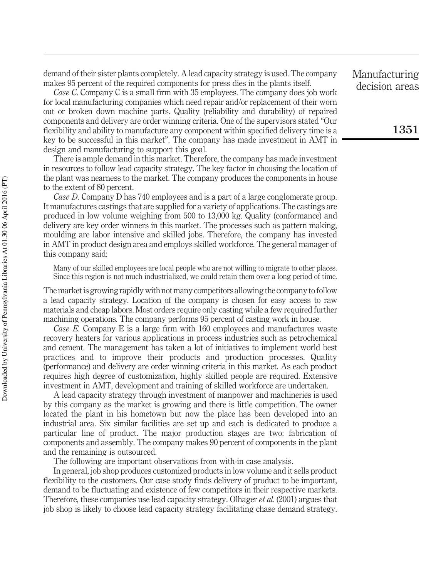demand of their sister plants completely. A lead capacity strategy is used. The company makes 95 percent of the required components for press dies in the plants itself.

*Case C*. Company C is a small firm with 35 employees. The company does job work for local manufacturing companies which need repair and/or replacement of their worn out or broken down machine parts. Quality (reliability and durability) of repaired components and delivery are order winning criteria. One of the supervisors stated "Our flexibility and ability to manufacture any component within specified delivery time is a key to be successful in this market". The company has made investment in AMT in design and manufacturing to support this goal.

There is ample demand in this market. Therefore, the company has made investment in resources to follow lead capacity strategy. The key factor in choosing the location of the plant was nearness to the market. The company produces the components in house to the extent of 80 percent.

*Case D*. Company D has 740 employees and is a part of a large conglomerate group. It manufactures castings that are supplied for a variety of applications. The castings are produced in low volume weighing from 500 to 13,000 kg. Quality (conformance) and delivery are key order winners in this market. The processes such as pattern making, moulding are labor intensive and skilled jobs. Therefore, the company has invested in AMT in product design area and employs skilled workforce. The general manager of this company said:

Many of our skilled employees are local people who are not willing to migrate to other places. Since this region is not much industrialized, we could retain them over a long period of time.

The market is growing rapidly with not many competitors allowing the company to follow a lead capacity strategy. Location of the company is chosen for easy access to raw materials and cheap labors. Most orders require only casting while a few required further machining operations. The company performs 95 percent of casting work in house.

*Case E*. Company E is a large firm with 160 employees and manufactures waste recovery heaters for various applications in process industries such as petrochemical and cement. The management has taken a lot of initiatives to implement world best practices and to improve their products and production processes. Quality (performance) and delivery are order winning criteria in this market. As each product requires high degree of customization, highly skilled people are required. Extensive investment in AMT, development and training of skilled workforce are undertaken.

A lead capacity strategy through investment of manpower and machineries is used by this company as the market is growing and there is little competition. The owner located the plant in his hometown but now the place has been developed into an industrial area. Six similar facilities are set up and each is dedicated to produce a particular line of product. The major production stages are two: fabrication of components and assembly. The company makes 90 percent of components in the plant and the remaining is outsourced.

The following are important observations from with-in case analysis.

In general, job shop produces customized products in low volume and it sells product flexibility to the customers. Our case study finds delivery of product to be important, demand to be fluctuating and existence of few competitors in their respective markets. Therefore, these companies use lead capacity strategy. Olhager *et al.* (2001) argues that job shop is likely to choose lead capacity strategy facilitating chase demand strategy.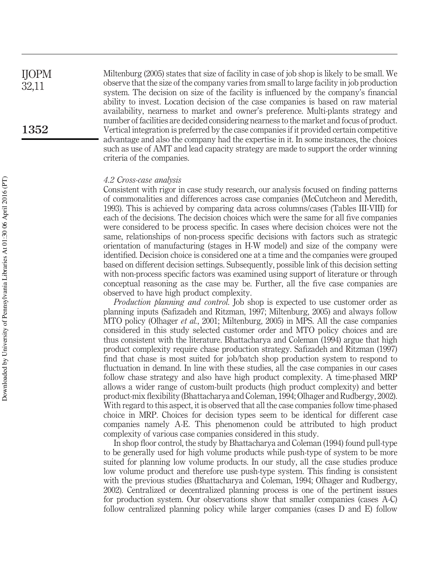Miltenburg (2005) states that size of facility in case of job shop is likely to be small. We observe that the size of the company varies from small to large facility in job production system. The decision on size of the facility is influenced by the company's financial ability to invest. Location decision of the case companies is based on raw material availability, nearness to market and owner's preference. Multi-plants strategy and number of facilities are decided considering nearness to the market and focus of product. Vertical integration is preferred by the case companies if it provided certain competitive advantage and also the company had the expertise in it. In some instances, the choices such as use of AMT and lead capacity strategy are made to support the order winning criteria of the companies.

#### *4.2 Cross-case analysis*

Consistent with rigor in case study research, our analysis focused on finding patterns of commonalities and differences across case companies (McCutcheon and Meredith, 1993). This is achieved by comparing data across columns/cases (Tables III-VIII) for each of the decisions. The decision choices which were the same for all five companies were considered to be process specific. In cases where decision choices were not the same, relationships of non-process specific decisions with factors such as strategic orientation of manufacturing (stages in H-W model) and size of the company were identified. Decision choice is considered one at a time and the companies were grouped based on different decision settings. Subsequently, possible link of this decision setting with non-process specific factors was examined using support of literature or through conceptual reasoning as the case may be. Further, all the five case companies are observed to have high product complexity.

*Production planning and control*. Job shop is expected to use customer order as planning inputs (Safizadeh and Ritzman, 1997; Miltenburg, 2005) and always follow MTO policy (Olhager *et al.*, 2001; Miltenburg, 2005) in MPS. All the case companies considered in this study selected customer order and MTO policy choices and are thus consistent with the literature. Bhattacharya and Coleman (1994) argue that high product complexity require chase production strategy. Safizadeh and Ritzman (1997) find that chase is most suited for job/batch shop production system to respond to fluctuation in demand. In line with these studies, all the case companies in our cases follow chase strategy and also have high product complexity. A time-phased MRP allows a wider range of custom-built products (high product complexity) and better product-mix flexibility (Bhattacharya and Coleman, 1994; Olhager and Rudbergy, 2002). With regard to this aspect, it is observed that all the case companies follow time-phased choice in MRP. Choices for decision types seem to be identical for different case companies namely A-E. This phenomenon could be attributed to high product complexity of various case companies considered in this study.

In shop floor control, the study by Bhattacharya and Coleman (1994) found pull-type to be generally used for high volume products while push-type of system to be more suited for planning low volume products. In our study, all the case studies produce low volume product and therefore use push-type system. This finding is consistent with the previous studies (Bhattacharya and Coleman, 1994; Olhager and Rudbergy, 2002). Centralized or decentralized planning process is one of the pertinent issues for production system. Our observations show that smaller companies (cases A-C) follow centralized planning policy while larger companies (cases D and E) follow

IJOPM 32,11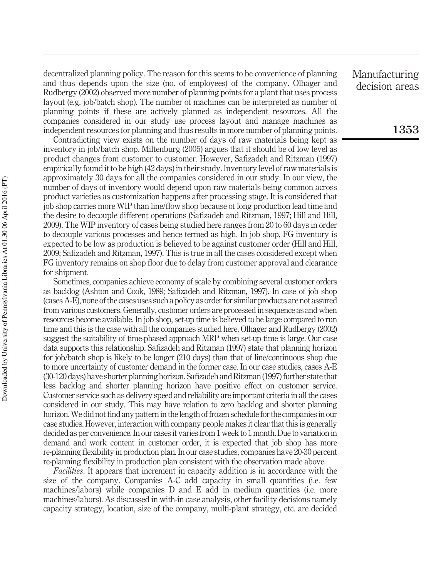decentralized planning policy. The reason for this seems to be convenience of planning and thus depends upon the size (no. of employees) of the company. Olhager and Rudbergy (2002) observed more number of planning points for a plant that uses process layout (e.g. job/batch shop). The number of machines can be interpreted as number of planning points if these are actively planned as independent resources. All the companies considered in our study use process layout and manage machines as independent resources for planning and thus results in more number of planning points.

Contradicting view exists on the number of days of raw materials being kept as inventory in job/batch shop. Miltenburg (2005) argues that it should be of low level as product changes from customer to customer. However, Safizadeh and Ritzman (1997) empirically found it to be high (42 days) in their study. Inventory level of raw materials is approximately 30 days for all the companies considered in our study. In our view, the number of days of inventory would depend upon raw materials being common across product varieties as customization happens after processing stage. It is considered that job shop carries more WIP than line/flow shop because of long production lead time and the desire to decouple different operations (Safizadeh and Ritzman, 1997; Hill and Hill, 2009). The WIP inventory of cases being studied here ranges from 20 to 60 days in order to decouple various processes and hence termed as high. In job shop, FG inventory is expected to be low as production is believed to be against customer order (Hill and Hill, 2009; Safizadeh and Ritzman, 1997). This is true in all the cases considered except when FG inventory remains on shop floor due to delay from customer approval and clearance for shipment.

Sometimes, companies achieve economy of scale by combining several customer orders as backlog (Ashton and Cook, 1989; Safizadeh and Ritzman, 1997). In case of job shop (cases A-E), none of the cases uses such a policy as order for similar products are not assured from various customers. Generally, customer orders are processed in sequence as and when resources become available. In job shop, set-up time is believed to be large compared to run time and this is the case with all the companies studied here. Olhager and Rudbergy (2002) suggest the suitability of time-phased approach MRP when set-up time is large. Our case data supports this relationship. Safizadeh and Ritzman (1997) state that planning horizon for job/batch shop is likely to be longer (210 days) than that of line/continuous shop due to more uncertainty of customer demand in the former case. In our case studies, cases A-E (30-120 days) have shorter planning horizon. Safizadeh and Ritzman (1997) further state that less backlog and shorter planning horizon have positive effect on customer service. Customer service such as delivery speed and reliability are important criteria in all the cases considered in our study. This may have relation to zero backlog and shorter planning horizon.We did not find any pattern in the length of frozen schedule for the companies in our case studies. However, interaction with company people makes it clear that this is generally decided as per convenience. In our cases it varies from 1 week to 1 month. Due to variation in demand and work content in customer order, it is expected that job shop has more re-planning flexibility in production plan. In our case studies, companies have 20-30 percent re-planning flexibility in production plan consistent with the observation made above.

*Facilities*. It appears that increment in capacity addition is in accordance with the size of the company. Companies A-C add capacity in small quantities (i.e. few machines/labors) while companies D and E add in medium quantities (i.e. more machines/labors). As discussed in with-in case analysis, other facility decisions namely capacity strategy, location, size of the company, multi-plant strategy, etc. are decided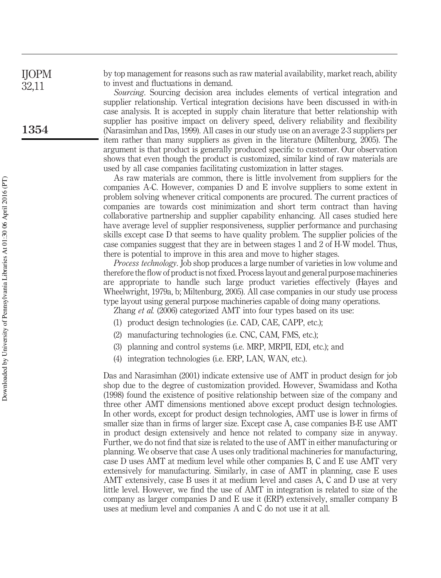IJOPM 32,11

1354

by top management for reasons such as raw material availability, market reach, ability to invest and fluctuations in demand.

*Sourcing*. Sourcing decision area includes elements of vertical integration and supplier relationship. Vertical integration decisions have been discussed in with-in case analysis. It is accepted in supply chain literature that better relationship with supplier has positive impact on delivery speed, delivery reliability and flexibility (Narasimhan and Das, 1999). All cases in our study use on an average 2-3 suppliers per item rather than many suppliers as given in the literature (Miltenburg, 2005). The argument is that product is generally produced specific to customer. Our observation shows that even though the product is customized, similar kind of raw materials are used by all case companies facilitating customization in latter stages.

As raw materials are common, there is little involvement from suppliers for the companies A-C. However, companies D and E involve suppliers to some extent in problem solving whenever critical components are procured. The current practices of companies are towards cost minimization and short term contract than having collaborative partnership and supplier capability enhancing. All cases studied here have average level of supplier responsiveness, supplier performance and purchasing skills except case D that seems to have quality problem. The supplier policies of the case companies suggest that they are in between stages 1 and 2 of H-W model. Thus, there is potential to improve in this area and move to higher stages.

*Process technology*. Job shop produces a large number of varieties in low volume and therefore the flow of product is not fixed. Process layout and general purpose machineries are appropriate to handle such large product varieties effectively (Hayes and Wheelwright, 1979a, b; Miltenburg, 2005). All case companies in our study use process type layout using general purpose machineries capable of doing many operations.

Zhang *et al.* (2006) categorized AMT into four types based on its use:

- (1) product design technologies (i.e. CAD, CAE, CAPP, etc.);
- (2) manufacturing technologies (i.e. CNC, CAM, FMS, etc.);
- (3) planning and control systems (i.e. MRP, MRPII, EDI, etc.); and
- (4) integration technologies (i.e. ERP, LAN, WAN, etc.).

Das and Narasimhan (2001) indicate extensive use of AMT in product design for job shop due to the degree of customization provided. However, Swamidass and Kotha (1998) found the existence of positive relationship between size of the company and three other AMT dimensions mentioned above except product design technologies. In other words, except for product design technologies, AMT use is lower in firms of smaller size than in firms of larger size. Except case A, case companies B-E use AMT in product design extensively and hence not related to company size in anyway. Further, we do not find that size is related to the use of AMT in either manufacturing or planning. We observe that case A uses only traditional machineries for manufacturing, case D uses AMT at medium level while other companies B, C and E use AMT very extensively for manufacturing. Similarly, in case of AMT in planning, case E uses AMT extensively, case B uses it at medium level and cases A, C and D use at very little level. However, we find the use of AMT in integration is related to size of the company as larger companies D and E use it (ERP) extensively, smaller company B uses at medium level and companies A and C do not use it at all.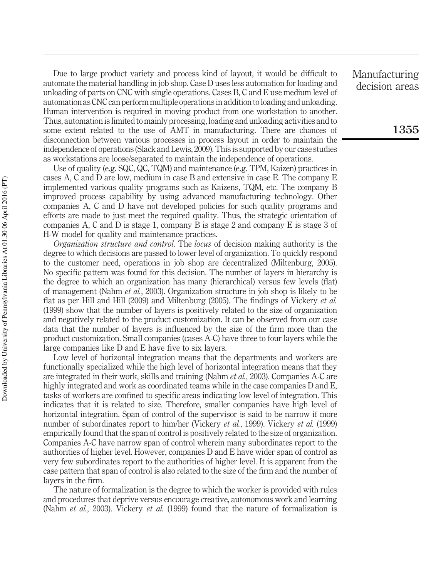Due to large product variety and process kind of layout, it would be difficult to automate the material handling in job shop. Case D uses less automation for loading and unloading of parts on CNC with single operations. Cases B, C and E use medium level of automation as CNC can perform multiple operations in addition to loading and unloading. Human intervention is required in moving product from one workstation to another. Thus, automation is limited to mainly processing, loading and unloading activities and to some extent related to the use of AMT in manufacturing. There are chances of disconnection between various processes in process layout in order to maintain the independence of operations (Slack and Lewis, 2009). This is supported by our case studies as workstations are loose/separated to maintain the independence of operations.

Use of quality (e.g. SQC, QC, TQM) and maintenance (e.g. TPM, Kaizen) practices in cases A, C and D are low, medium in case B and extensive in case E. The company E implemented various quality programs such as Kaizens, TQM, etc. The company B improved process capability by using advanced manufacturing technology. Other companies A, C and D have not developed policies for such quality programs and efforts are made to just meet the required quality. Thus, the strategic orientation of companies A, C and D is stage 1, company B is stage 2 and company E is stage 3 of H-W model for quality and maintenance practices.

*Organization structure and control*. The *locus* of decision making authority is the degree to which decisions are passed to lower level of organization. To quickly respond to the customer need, operations in job shop are decentralized (Miltenburg, 2005). No specific pattern was found for this decision. The number of layers in hierarchy is the degree to which an organization has many (hierarchical) versus few levels (flat) of management (Nahm *et al.*, 2003). Organization structure in job shop is likely to be flat as per Hill and Hill (2009) and Miltenburg (2005). The findings of Vickery *et al.* (1999) show that the number of layers is positively related to the size of organization and negatively related to the product customization. It can be observed from our case data that the number of layers is influenced by the size of the firm more than the product customization. Small companies (cases A-C) have three to four layers while the large companies like D and E have five to six layers.

Low level of horizontal integration means that the departments and workers are functionally specialized while the high level of horizontal integration means that they are integrated in their work, skills and training (Nahm *et al.*, 2003). Companies A-C are highly integrated and work as coordinated teams while in the case companies D and E, tasks of workers are confined to specific areas indicating low level of integration. This indicates that it is related to size. Therefore, smaller companies have high level of horizontal integration. Span of control of the supervisor is said to be narrow if more number of subordinates report to him/her (Vickery *et al.*, 1999). Vickery *et al.* (1999) empirically found that the span of control is positively related to the size of organization. Companies A-C have narrow span of control wherein many subordinates report to the authorities of higher level. However, companies D and E have wider span of control as very few subordinates report to the authorities of higher level. It is apparent from the case pattern that span of control is also related to the size of the firm and the number of layers in the firm.

The nature of formalization is the degree to which the worker is provided with rules and procedures that deprive versus encourage creative, autonomous work and learning (Nahm *et al.*, 2003). Vickery *et al.* (1999) found that the nature of formalization is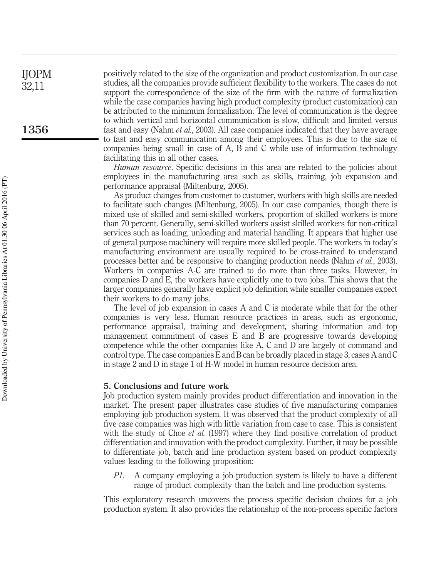positively related to the size of the organization and product customization. In our case studies, all the companies provide sufficient flexibility to the workers. The cases do not support the correspondence of the size of the firm with the nature of formalization while the case companies having high product complexity (product customization) can be attributed to the minimum formalization. The level of communication is the degree to which vertical and horizontal communication is slow, difficult and limited versus fast and easy (Nahm *et al.*, 2003). All case companies indicated that they have average to fast and easy communication among their employees. This is due to the size of companies being small in case of A, B and C while use of information technology facilitating this in all other cases.

*Human resource*. Specific decisions in this area are related to the policies about employees in the manufacturing area such as skills, training, job expansion and performance appraisal (Miltenburg, 2005).

As product changes from customer to customer, workers with high skills are needed to facilitate such changes (Miltenburg, 2005). In our case companies, though there is mixed use of skilled and semi-skilled workers, proportion of skilled workers is more than 70 percent. Generally, semi-skilled workers assist skilled workers for non-critical services such as loading, unloading and material handling. It appears that higher use of general purpose machinery will require more skilled people. The workers in today's manufacturing environment are usually required to be cross-trained to understand processes better and be responsive to changing production needs (Nahm *et al.*, 2003). Workers in companies A-C are trained to do more than three tasks. However, in companies D and E, the workers have explicitly one to two jobs. This shows that the larger companies generally have explicit job definition while smaller companies expect their workers to do many jobs.

The level of job expansion in cases A and C is moderate while that for the other companies is very less. Human resource practices in areas, such as ergonomic, performance appraisal, training and development, sharing information and top management commitment of cases E and B are progressive towards developing competence while the other companies like A, C and D are largely of command and control type. The case companies E and B can be broadly placed in stage 3, cases A and C in stage 2 and D in stage 1 of H-W model in human resource decision area.

#### 5. Conclusions and future work

Job production system mainly provides product differentiation and innovation in the market. The present paper illustrates case studies of five manufacturing companies employing job production system. It was observed that the product complexity of all five case companies was high with little variation from case to case. This is consistent with the study of Choe *et al.* (1997) where they find positive correlation of product differentiation and innovation with the product complexity. Further, it may be possible to differentiate job, batch and line production system based on product complexity values leading to the following proposition:

*P1.* A company employing a job production system is likely to have a different range of product complexity than the batch and line production systems.

This exploratory research uncovers the process specific decision choices for a job production system. It also provides the relationship of the non-process specific factors

1356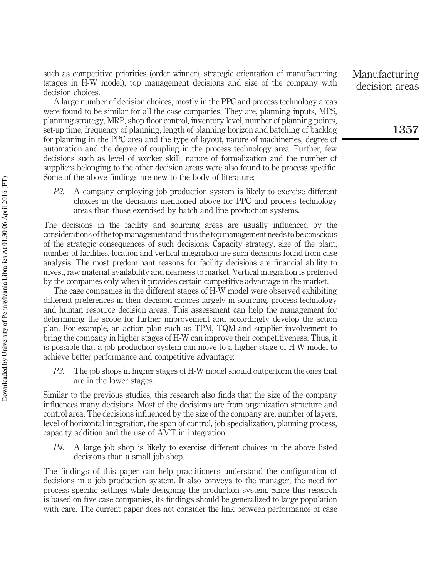such as competitive priorities (order winner), strategic orientation of manufacturing (stages in H-W model), top management decisions and size of the company with decision choices.

A large number of decision choices, mostly in the PPC and process technology areas were found to be similar for all the case companies. They are, planning inputs, MPS, planning strategy, MRP, shop floor control, inventory level, number of planning points, set-up time, frequency of planning, length of planning horizon and batching of backlog for planning in the PPC area and the type of layout, nature of machineries, degree of automation and the degree of coupling in the process technology area. Further, few decisions such as level of worker skill, nature of formalization and the number of suppliers belonging to the other decision areas were also found to be process specific. Some of the above findings are new to the body of literature:

*P2.* A company employing job production system is likely to exercise different choices in the decisions mentioned above for PPC and process technology areas than those exercised by batch and line production systems.

The decisions in the facility and sourcing areas are usually influenced by the considerations of the top management and thus the top management needs to be conscious of the strategic consequences of such decisions. Capacity strategy, size of the plant, number of facilities, location and vertical integration are such decisions found from case analysis. The most predominant reasons for facility decisions are financial ability to invest, raw material availability and nearness to market. Vertical integration is preferred by the companies only when it provides certain competitive advantage in the market.

The case companies in the different stages of H-W model were observed exhibiting different preferences in their decision choices largely in sourcing, process technology and human resource decision areas. This assessment can help the management for determining the scope for further improvement and accordingly develop the action plan. For example, an action plan such as TPM, TQM and supplier involvement to bring the company in higher stages of H-W can improve their competitiveness. Thus, it is possible that a job production system can move to a higher stage of H-W model to achieve better performance and competitive advantage:

*P3.* The job shops in higher stages of H-W model should outperform the ones that are in the lower stages.

Similar to the previous studies, this research also finds that the size of the company influences many decisions. Most of the decisions are from organization structure and control area. The decisions influenced by the size of the company are, number of layers, level of horizontal integration, the span of control, job specialization, planning process, capacity addition and the use of AMT in integration:

*P4.* A large job shop is likely to exercise different choices in the above listed decisions than a small job shop.

The findings of this paper can help practitioners understand the configuration of decisions in a job production system. It also conveys to the manager, the need for process specific settings while designing the production system. Since this research is based on five case companies, its findings should be generalized to large population with care. The current paper does not consider the link between performance of case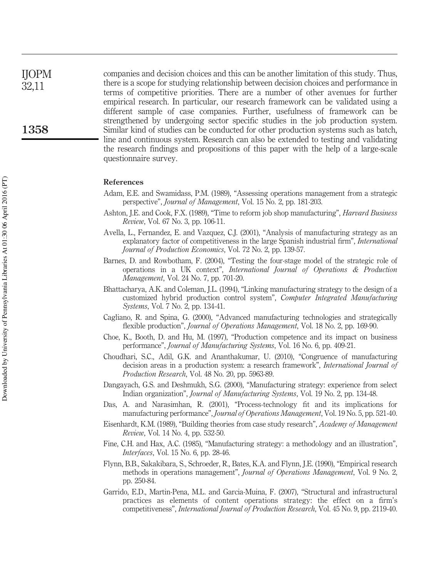companies and decision choices and this can be another limitation of this study. Thus, there is a scope for studying relationship between decision choices and performance in terms of competitive priorities. There are a number of other avenues for further empirical research. In particular, our research framework can be validated using a different sample of case companies. Further, usefulness of framework can be strengthened by undergoing sector specific studies in the job production system. Similar kind of studies can be conducted for other production systems such as batch, line and continuous system. Research can also be extended to testing and validating the research findings and propositions of this paper with the help of a large-scale questionnaire survey.

#### References

- Adam, E.E. and Swamidass, P.M. (1989), "Assessing operations management from a strategic perspective", *Journal of Management*, Vol. 15 No. 2, pp. 181-203.
- Ashton, J.E. and Cook, F.X. (1989), "Time to reform job shop manufacturing", *Harvard Business Review*, Vol. 67 No. 3, pp. 106-11.
- Avella, L., Fernandez, E. and Vazquez, C.J. (2001), "Analysis of manufacturing strategy as an explanatory factor of competitiveness in the large Spanish industrial firm", *International Journal of Production Economics*, Vol. 72 No. 2, pp. 139-57.
- Barnes, D. and Rowbotham, F. (2004), "Testing the four-stage model of the strategic role of operations in a UK context", *International Journal of Operations & Production Management*, Vol. 24 No. 7, pp. 701-20.
- Bhattacharya, A.K. and Coleman, J.L. (1994), "Linking manufacturing strategy to the design of a customized hybrid production control system", *Computer Integrated Manufacturing Systems*, Vol. 7 No. 2, pp. 134-41.
- Cagliano, R. and Spina, G. (2000), "Advanced manufacturing technologies and strategically flexible production", *Journal of Operations Management*, Vol. 18 No. 2, pp. 169-90.
- Choe, K., Booth, D. and Hu, M. (1997), "Production competence and its impact on business performance", *Journal of Manufacturing Systems*, Vol. 16 No. 6, pp. 409-21.
- Choudhari, S.C., Adil, G.K. and Ananthakumar, U. (2010), "Congruence of manufacturing decision areas in a production system: a research framework", *International Journal of Production Research*, Vol. 48 No. 20, pp. 5963-89.
- Dangayach, G.S. and Deshmukh, S.G. (2000), "Manufacturing strategy: experience from select Indian organization", *Journal of Manufacturing Systems*, Vol. 19 No. 2, pp. 134-48.
- Das, A. and Narasimhan, R. (2001), "Process-technology fit and its implications for manufacturing performance", *Journal of Operations Management*, Vol. 19 No. 5, pp. 521-40.
- Eisenhardt, K.M. (1989), "Building theories from case study research", *Academy of Management Review*, Vol. 14 No. 4, pp. 532-50.
- Fine, C.H. and Hax, A.C. (1985), "Manufacturing strategy: a methodology and an illustration", *Interfaces*, Vol. 15 No. 6, pp. 28-46.
- Flynn, B.B., Sakakibara, S., Schroeder, R., Bates, K.A. and Flynn, J.E. (1990), "Empirical research methods in operations management", *Journal of Operations Management*, Vol. 9 No. 2, pp. 250-84.
- Garrido, E.D., Martin-Pena, M.L. and Garcia-Muina, F. (2007), "Structural and infrastructural practices as elements of content operations strategy: the effect on a firm's competitiveness", *International Journal of Production Research*, Vol. 45 No. 9, pp. 2119-40.

## 1358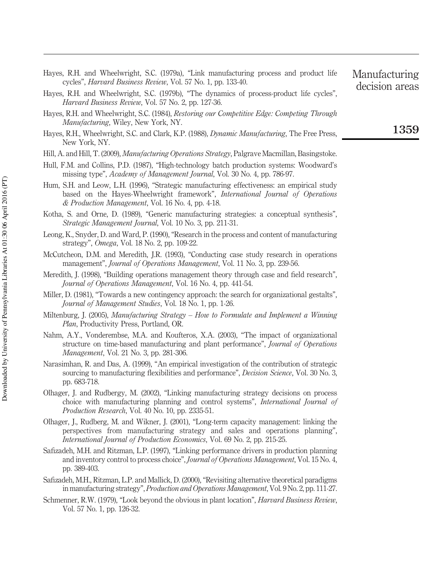- Hayes, R.H. and Wheelwright, S.C. (1979a), "Link manufacturing process and product life cycles", *Harvard Business Review*, Vol. 57 No. 1, pp. 133-40.
- Hayes, R.H. and Wheelwright, S.C. (1979b), "The dynamics of process-product life cycles", *Harvard Business Review*, Vol. 57 No. 2, pp. 127-36.
- Hayes, R.H. and Wheelwright, S.C. (1984), *Restoring our Competitive Edge: Competing Through Manufacturing*, Wiley, New York, NY.
- Hayes, R.H., Wheelwright, S.C. and Clark, K.P. (1988), *Dynamic Manufacturing*, The Free Press, New York, NY.
- Hill, A. and Hill, T. (2009), *Manufacturing Operations Strategy*, Palgrave Macmillan, Basingstoke.
- Hull, F.M. and Collins, P.D. (1987), "High-technology batch production systems: Woodward's missing type", *Academy of Management Journal*, Vol. 30 No. 4, pp. 786-97.
- Hum, S.H. and Leow, L.H. (1996), "Strategic manufacturing effectiveness: an empirical study based on the Hayes-Wheelwright framework", *International Journal of Operations & Production Management*, Vol. 16 No. 4, pp. 4-18.
- Kotha, S. and Orne, D. (1989), "Generic manufacturing strategies: a conceptual synthesis", *Strategic Management Journal*, Vol. 10 No. 3, pp. 211-31.
- Leong, K., Snyder, D. and Ward, P. (1990), "Research in the process and content of manufacturing strategy", *Omega*, Vol. 18 No. 2, pp. 109-22.
- McCutcheon, D.M. and Meredith, J.R. (1993), "Conducting case study research in operations management", *Journal of Operations Management*, Vol. 11 No. 3, pp. 239-56.
- Meredith, J. (1998), "Building operations management theory through case and field research", *Journal of Operations Management*, Vol. 16 No. 4, pp. 441-54.
- Miller, D. (1981), "Towards a new contingency approach: the search for organizational gestalts", *Journal of Management Studies*, Vol. 18 No. 1, pp. 1-26.
- Miltenburg, J. (2005), *Manufacturing Strategy How to Formulate and Implement a Winning Plan*, Productivity Press, Portland, OR.
- Nahm, A.Y., Vonderembse, M.A. and Koufteros, X.A. (2003), "The impact of organizational structure on time-based manufacturing and plant performance", *Journal of Operations Management*, Vol. 21 No. 3, pp. 281-306.
- Narasimhan, R. and Das, A. (1999), "An empirical investigation of the contribution of strategic sourcing to manufacturing flexibilities and performance", *Decision Science*, Vol. 30 No. 3, pp. 683-718.
- Olhager, J. and Rudbergy, M. (2002), "Linking manufacturing strategy decisions on process choice with manufacturing planning and control systems", *International Journal of Production Research*, Vol. 40 No. 10, pp. 2335-51.
- Olhager, J., Rudberg, M. and Wikner, J. (2001), "Long-term capacity management: linking the perspectives from manufacturing strategy and sales and operations planning", *International Journal of Production Economics*, Vol. 69 No. 2, pp. 215-25.
- Safizadeh, M.H. and Ritzman, L.P. (1997), "Linking performance drivers in production planning and inventory control to process choice", *Journal of Operations Management*, Vol. 15 No. 4, pp. 389-403.
- Safizadeh, M.H., Ritzman, L.P. and Mallick, D. (2000), "Revisiting alternative theoretical paradigms in manufacturing strategy", *Production and Operations Management*, Vol. 9 No. 2, pp. 111-27.
- Schmenner, R.W. (1979), "Look beyond the obvious in plant location", *Harvard Business Review*, Vol. 57 No. 1, pp. 126-32.

1359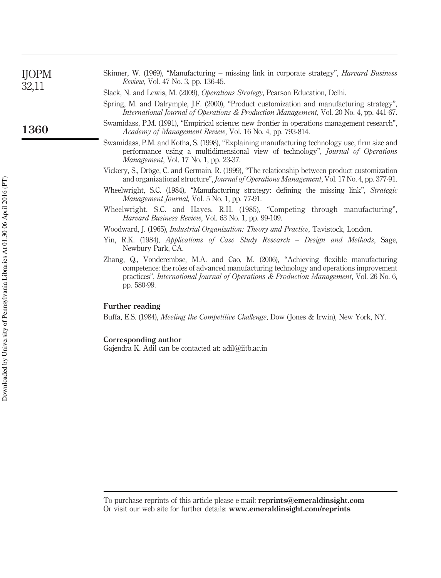| <b>IJOPM</b><br>32,11 | Skinner, W. (1969), "Manufacturing – missing link in corporate strategy", <i>Harvard Business</i><br><i>Review</i> , Vol. 47 No. 3, pp. 136-45.                                                                                         |
|-----------------------|-----------------------------------------------------------------------------------------------------------------------------------------------------------------------------------------------------------------------------------------|
|                       | Slack, N. and Lewis, M. (2009), <i>Operations Strategy</i> , Pearson Education, Delhi.                                                                                                                                                  |
|                       | Spring, M. and Dalrymple, J.F. (2000), "Product customization and manufacturing strategy",<br>International Journal of Operations & Production Management, Vol. 20 No. 4, pp. 441-67.                                                   |
| <b>1360</b>           | Swamidass, P.M. (1991), "Empirical science: new frontier in operations management research",<br><i>Academy of Management Review, Vol. 16 No. 4, pp. 793-814.</i>                                                                        |
|                       | Swamidass, P.M. and Kotha, S. (1998), "Explaining manufacturing technology use, firm size and<br>performance using a multidimensional view of technology", <i>Journal of Operations</i><br><i>Management, Vol. 17 No. 1, pp. 23-37.</i> |
|                       | Vickery, S., Dröge, C. and Germain, R. (1999), "The relationship between product customization<br>and organizational structure", <i>Journal of Operations Management</i> , Vol. 17 No. 4, pp. 377-91.                                   |
|                       | Wheelwright, S.C. (1984), "Manufacturing strategy: defining the missing link", Strategic<br><i>Management Journal</i> , Vol. 5 No. 1, pp. 77-91.                                                                                        |
|                       | Wheelwright, S.C. and Hayes, R.H. (1985), "Competing through manufacturing",<br><i>Harvard Business Review, Vol. 63 No. 1, pp. 99-109.</i>                                                                                              |
|                       | Woodward, J. (1965), <i>Industrial Organization: Theory and Practice</i> , Tavistock, London.                                                                                                                                           |
|                       | Yin, R.K. (1984), Applications of Case Study Research – Design and Methods, Sage,<br>Newbury Park, CA.                                                                                                                                  |
|                       | Zhang, Q., Vonderembse, M.A. and Cao, M. (2006), "Achieving flexible manufacturing<br>competence: the roles of advanced manufacturing technology and operations improvement                                                             |

practices", *International Journal of Operations & Production Management*, Vol. 26 No. 6, pp. 580-99.

#### Further reading

Buffa, E.S. (1984), *Meeting the Competitive Challenge*, Dow (Jones & Irwin), New York, NY.

#### Corresponding author

Gajendra K. Adil can be contacted at: adil@iitb.ac.in

To purchase reprints of this article please e-mail: reprints@emeraldinsight.com Or visit our web site for further details: www.emeraldinsight.com/reprints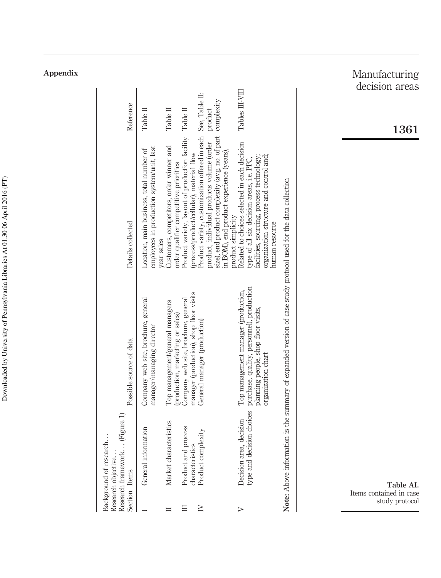| Appendix                                     |                                   |                                                                                       |                                                        |                                                                                                                                       |                                                                                                                                                                                             |                                                                                                                                                                                                                           |                                                                                                                       | Manufacturing<br>decision areas           |
|----------------------------------------------|-----------------------------------|---------------------------------------------------------------------------------------|--------------------------------------------------------|---------------------------------------------------------------------------------------------------------------------------------------|---------------------------------------------------------------------------------------------------------------------------------------------------------------------------------------------|---------------------------------------------------------------------------------------------------------------------------------------------------------------------------------------------------------------------------|-----------------------------------------------------------------------------------------------------------------------|-------------------------------------------|
|                                              | Reference                         | Table II                                                                              | Table II                                               | Table II                                                                                                                              | See, Table II:<br>complexity<br>product                                                                                                                                                     | Tables III-VIII                                                                                                                                                                                                           |                                                                                                                       | 1361                                      |
|                                              | Details collected                 | employees in production system/unit, last<br>Location, main business, total number of | Customers, competitors, order winner and<br>year sales | Product variety, layout of production facility<br>(process/product/cellular), material flow<br>order qualifier competitive priorities | size), end product complexity (avg. no. of part<br>Product variety, customization offered in each<br>product, individual products volume (order<br>in BOM), end product experience (years), | Related to choices selected in each decision<br>organization structure and control and;<br>facilities, sourcing, process technology;<br>type of all six decision areas, i.e. PPC,<br>product simplicity<br>human resource |                                                                                                                       |                                           |
|                                              | Possible source of data           | Company web site, brochure, general<br>manager/managing director                      | Top management/general managers                        | manager (production), shop floor visits<br>Company web site, brochure, general<br>(production, marketing or sales)                    | General manager (production)                                                                                                                                                                | purchase, quality, personnel), production<br>Top management manager (production,<br>planning people, shop floor visits,<br>organization chart                                                                             | <b>Note:</b> Above information is the summary of expanded version of case study protocol used for the data collection |                                           |
| Background of research<br>Research objective | (Figure 1)<br>Research framework. | General information                                                                   | Market characteristics                                 | process<br>characteristics<br>Product and                                                                                             | Product complexity                                                                                                                                                                          | type and decision choices<br>Decision area, decision                                                                                                                                                                      |                                                                                                                       | Table AI.                                 |
|                                              | Section Items                     |                                                                                       | $\equiv$                                               | 目                                                                                                                                     | $\square$                                                                                                                                                                                   | ➢                                                                                                                                                                                                                         |                                                                                                                       | Items contained in case<br>study protocol |

Downloaded by University of Pennsylvania Libraries At 01:30 06 April 2016 (PT) Downloaded by University of Pennsylvania Libraries At 01:30 06 April 2016 (PT)